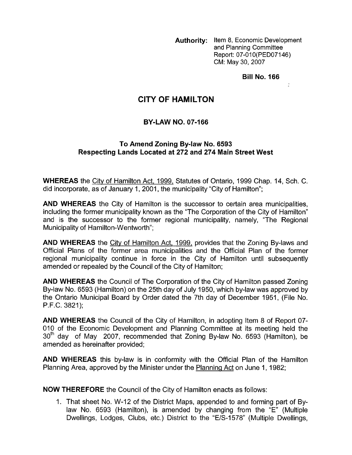**Authority:** Item 8, Economic Development and Planning Committee Report: 07-010(PED07146) CM: May 30,2007

**Bill No. 166** 

 $\frac{a}{2}$ 

## **CITY OF HAMILTON**

## **BY-LAW NO. 07-166**

## **To Amend Zoning By-law No. 6593 Respecting Lands Located at 272 and 274 Main Street West**

**WHEREAS** the Citv of Hamilton Act, 1999, Statutes of Ontario, 1999 Chap. 14, Sch. C. did incorporate, as of January 1, 2001, the municipality "City of Hamilton";

**AND WHEREAS** the City of Hamilton is the successor to certain area municipalities, including the former municipality known as the "The Corporation of the City of Hamilton" and is the successor to the former regional municipality, namely, "The Regional Municipality of Hamilton-Wentworth";

**AND WHEREAS** the City of Hamilton Act, 1999, provides that the Zoning By-laws and Official Plans of the former area municipalities and the Official Plan of the former regional municipality continue in force in the City of Hamilton until subsequently amended or repealed by the Council of the City of Hamilton;

**AND WHEREAS** the Council of The Corporation of the City of Hamilton passed Zoning By-law No. 6593 (Hamilton) on the 25th day of July 1950, which by-law was approved by the Ontario Municipal Board by Order dated the 7th day of December 1951, (File No. P.F.C. 3821);

**AND WHEREAS** the Council of the City of Hamilton, in adopting Item 8 of Report 07- 010 of the Economic Development and Planning Committee at its meeting held the  $30<sup>th</sup>$  day of May 2007, recommended that Zoning By-law No. 6593 (Hamilton), be amended as hereinafter provided;

**AND WHEREAS** this by-law is in conformity with the Official Plan of the Hamilton Planning Area, approved by the Minister under the Planning Act on June 1, 1982;

**NOW THEREFORE** the Council of the City of Hamilton enacts as follows:

1. That sheet No. W-12 of the District Maps, appended to and forming part of Bylaw No. 6593 (Hamilton), is amended by changing from the "E" (Multiple Dwellings, Lodges, Clubs, etc.) District to the "E/S-1578" (Multiple Dwellings,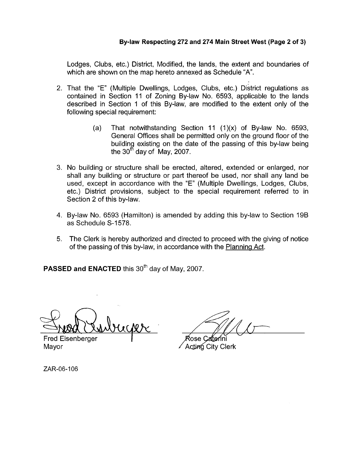## **Bylaw Respecting 272 and 274 Main Street West (Page 2 of 3)**

Lodges, Clubs, etc.) District, Modified, the lands, the extent and boundaries of which are shown on the map hereto annexed as Schedule "A".

- 2. That the "E" (Multiple Dwellings, Lodges, Clubs, etc.) District regulations as contained in Section 11 of Zoning By-law No. 6593, applicable to the lands described in Section 1 of this By-law, are modified to the extent only of the following special requirement:
	- (a) That notwithstanding Section 11  $(1)(x)$  of By-law No. 6593, General Offices shall be permitted only on the ground floor of the building existing on the date of the passing of this by-law being the  $30<sup>th</sup>$  day of May, 2007.
- 3. No building or structure shall be erected, altered, extended or enlarged, nor shall any building or structure or part thereof be used, nor shall any land be used, except in accordance with the "E" (Multiple Dwellings, Lodges, Clubs, etc.) District provisions, subject to the special requirement referred to in Section 2 of this by-law.
- **4.** By-law No. 6593 (Hamilton) is amended by adding this by-law to Section 19B as Schedule S-1578.
- 5. The Clerk is hereby authorized and directed to proceed with the giving of notice of the passing of this by-law, in accordance with the Planning Act.

**PASSED and ENACTED this 30<sup>th</sup> day of May, 2007.** 

**Fred Eisenberger** 

Rose C

Mayor Acting City Clerk

ZAR-06-106